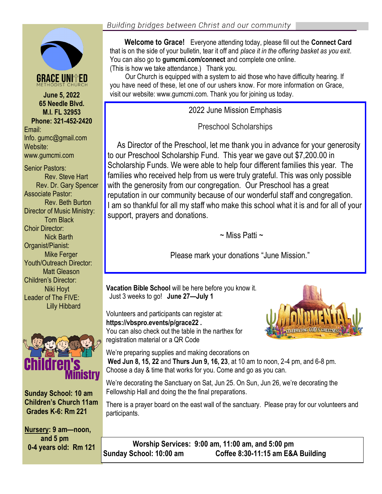**65 Needle Blvd. M.I. FL 32953 Phone: 321-452-2420** Email: Info. gumc@gmail.com Website: www.gumcmi.com

Senior Pastors: Rev. Steve Hart Rev. Dr. Gary Spencer Associate Pastor: Rev. Beth Burton Director of Music Ministry: Tom Black Choir Director: Nick Barth Organist/Pianist: Mike Ferger Youth/Outreach Director: Matt Gleason Children's Director: Niki Hoyt Leader of The FIVE: Lilly Hibbard



**Sunday School: 10 am Children's Church 11am Grades K-6: Rm 221**

**Nursery: 9 am—noon, and 5 pm 0-4 years old: Rm 121**

 **Welcome to Grace!** Everyone attending today, please fill out the **Connect Card**  that is on the side of your bulletin, tear it off and *place it in the offering basket as you exit*. You can also go to **gumcmi.com/connect** and complete one online. (This is how we take attendance.) Thank you.

 Our Church is equipped with a system to aid those who have difficulty hearing. If you have need of these, let one of our ushers know. For more information on Grace, **June 5, 2022** visit our website: www.gumcmi.com. Thank you for joining us today.

2022 June Mission Emphasis

Preschool Scholarships

 As Director of the Preschool, let me thank you in advance for your generosity to our Preschool Scholarship Fund. This year we gave out \$7,200.00 in Scholarship Funds. We were able to help four different families this year. The families who received help from us were truly grateful. This was only possible with the generosity from our congregation. Our Preschool has a great reputation in our community because of our wonderful staff and congregation. I am so thankful for all my staff who make this school what it is and for all of your support, prayers and donations.

 $\sim$  Miss Patti  $\sim$ 

Please mark your donations "June Mission."

**Vacation Bible School** will be here before you know it. Just 3 weeks to go! **June 27—July 1**

Volunteers and participants can register at: **https://vbspro.events/p/grace22 .** You can also check out the table in the narthex for registration material or a QR Code



We're preparing supplies and making decorations on **Wed Jun 8, 15, 22** and **Thurs Jun 9, 16, 23**, at 10 am to noon, 2-4 pm, and 6-8 pm. Choose a day & time that works for you. Come and go as you can.

We're decorating the Sanctuary on Sat, Jun 25. On Sun, Jun 26, we're decorating the Fellowship Hall and doing the the final preparations.

There is a prayer board on the east wall of the sanctuary. Please pray for our volunteers and participants.

 **Worship Services: 9:00 am, 11:00 am, and 5:00 pm Sunday School: 10:00 am Coffee 8:30-11:15 am E&A Building**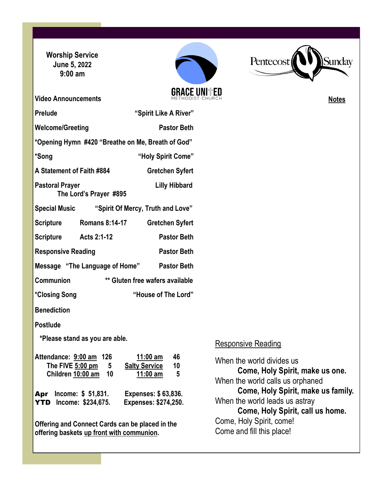**Worship Service June 5, 2022 9:00 am**



i<br>I



**Notes**

| <b>Video Announcements</b>                                                                   | METHODIST CHURCH                                    |
|----------------------------------------------------------------------------------------------|-----------------------------------------------------|
| <b>Prelude</b>                                                                               | "Spirit Like A River"                               |
| <b>Welcome/Greeting</b>                                                                      | <b>Pastor Beth</b>                                  |
| *Opening Hymn #420 "Breathe on Me, Breath of God"                                            |                                                     |
| *Song                                                                                        | "Holy Spirit Come"                                  |
| A Statement of Faith #884                                                                    | <b>Gretchen Syfert</b>                              |
| <b>Pastoral Prayer</b><br>The Lord's Prayer #895                                             | <b>Lilly Hibbard</b>                                |
| Special Music "Spirit Of Mercy, Truth and Love"                                              |                                                     |
| <b>Scripture</b><br><b>Romans 8:14-17</b>                                                    | <b>Gretchen Syfert</b>                              |
| Scripture Acts 2:1-12                                                                        | <b>Pastor Beth</b>                                  |
| <b>Responsive Reading</b>                                                                    | <b>Pastor Beth</b>                                  |
| Message "The Language of Home" Pastor Beth                                                   |                                                     |
| Communion                                                                                    | ** Gluten free wafers available                     |
| *Closing Song                                                                                | "House of The Lord"                                 |
| <b>Benediction</b>                                                                           |                                                     |
| <b>Postlude</b>                                                                              |                                                     |
| *Please stand as you are able.                                                               | R                                                   |
| Attendance: 9:00 am 126<br>The FIVE 5:00 pm<br>5                                             | 11:00 $am$<br>46<br>W<br><b>Salty Service</b><br>10 |
| Children 10:00 am 10                                                                         | <u>11:00 am</u><br>-5<br>W                          |
| Income: \$ 51,831.<br>Apr<br><b>YTD</b> Income: \$234,675.                                   | Expenses: \$63,836.<br>W<br>Expenses: \$274,250.    |
| Offering and Connect Cards can be placed in the<br>offering baskets up front with communion. | Сc<br>Сc                                            |

### Responsive Reading

When the world divides us **Come, Holy Spirit, make us one.** When the world calls us orphaned **Come, Holy Spirit, make us family.** When the world leads us astray **Come, Holy Spirit, call us home.** Come, Holy Spirit, come! Come and fill this place!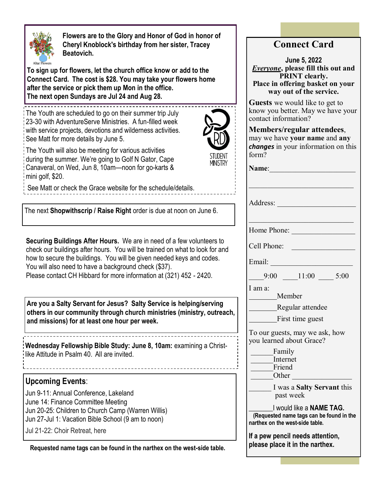

 **Flowers are to the Glory and Honor of God in honor of Cheryl Knoblock's birthday from her sister, Tracey Beatovich.**

**To sign up for flowers, let the church office know or add to the Connect Card. The cost is \$28. You may take your flowers home after the service or pick them up Mon in the office. The next open Sundays are Jul 24 and Aug 28.**

\_\_\_\_\_\_\_\_\_\_\_\_\_\_\_\_\_\_\_\_\_\_\_\_\_\_\_\_\_\_\_\_\_ The Youth are scheduled to go on their summer trip July 23-30 with AdventureServe Ministries. A fun-filled week with service projects, devotions and wilderness activities. See Matt for more details by June 5.



Ministry

The Youth will also be meeting for various activities during the summer. We're going to Golf N Gator, Cape Canaveral, on Wed, Jun 8, 10am—noon for go-karts & mini golf, \$20.

See Matt or check the Grace website for the schedule/details.

The next **Shopwithscrip / Raise Right** order is due at noon on June 6.

**Securing Buildings After Hours.** We are in need of a few volunteers to check our buildings after hours. You will be trained on what to look for and how to secure the buildings. You will be given needed keys and codes. You will also need to have a background check (\$37). Please contact CH Hibbard for more information at (321) 452 - 2420.

**Are you a Salty Servant for Jesus? Salty Service is helping/serving others in our community through church ministries (ministry, outreach, and missions) for at least one hour per week.**

**Wednesday Fellowship Bible Study: June 8, 10am:** examining a Christlike Attitude in Psalm 40. All are invited.

### **Upcoming Events**:

Jun 9-11: Annual Conference, Lakeland June 14: Finance Committee Meeting Jun 20-25: Children to Church Camp (Warren Willis) Jun 27-Jul 1: Vacation Bible School (9 am to noon) Jul 21-22: Choir Retreat, here

**Requested name tags can be found in the narthex on the west-side table.**

# **Connect Card**

**June 5, 2022** *Everyone***, please fill this out and PRINT clearly. Place in offering basket on your way out of the service.**

**Guests** we would like to get to know you better. May we have your contact information?

**Members/regular attendees**, may we have **your name** and **any**  *changes* in your information on this form?

| <b>Name:</b>                                                                                            |
|---------------------------------------------------------------------------------------------------------|
|                                                                                                         |
| Address:                                                                                                |
| Home Phone:                                                                                             |
| Cell Phone:                                                                                             |
| Email:                                                                                                  |
| $9:00$ 11:00 5:00                                                                                       |
| I am a:<br>Member                                                                                       |
| Regular attendee                                                                                        |
| First time guest                                                                                        |
| To our guests, may we ask, how<br>you learned about Grace?                                              |
| Family<br>Internet<br>Friend<br>Other                                                                   |
| I was a <b>Salty Servant</b> this<br>past week                                                          |
| I would like a NAME TAG.<br>(Requested name tags can be found in the<br>narthex on the west-side table. |
| If a pew pencil needs attention,<br>please place it in the narthex.                                     |